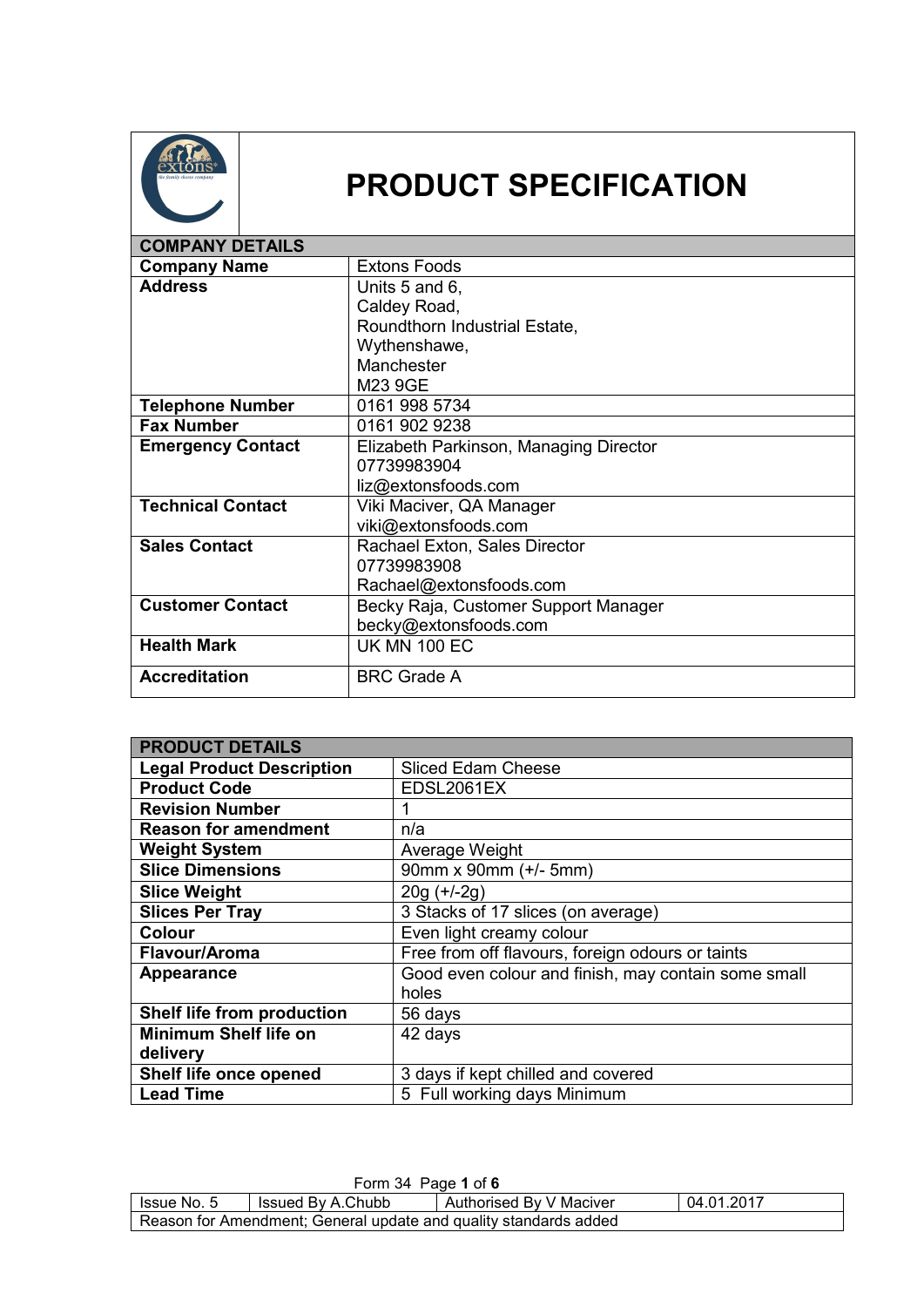

## **PRODUCT SPECIFICATION**

| <b>COMPANY DETAILS</b>   |                                        |
|--------------------------|----------------------------------------|
| <b>Company Name</b>      | <b>Extons Foods</b>                    |
| <b>Address</b>           | Units 5 and 6,                         |
|                          | Caldey Road,                           |
|                          | Roundthorn Industrial Estate,          |
|                          | Wythenshawe,                           |
|                          | Manchester                             |
|                          | M23 9GE                                |
| <b>Telephone Number</b>  | 0161 998 5734                          |
| <b>Fax Number</b>        | 0161 902 9238                          |
| <b>Emergency Contact</b> | Elizabeth Parkinson, Managing Director |
|                          | 07739983904                            |
|                          | liz@extonsfoods.com                    |
| <b>Technical Contact</b> | Viki Maciver, QA Manager               |
|                          | viki@extonsfoods.com                   |
| <b>Sales Contact</b>     | Rachael Exton, Sales Director          |
|                          | 07739983908                            |
|                          | Rachael@extonsfoods.com                |
| <b>Customer Contact</b>  | Becky Raja, Customer Support Manager   |
|                          | becky@extonsfoods.com                  |
| <b>Health Mark</b>       | <b>UK MN 100 EC</b>                    |
| <b>Accreditation</b>     | <b>BRC Grade A</b>                     |

| <b>PRODUCT DETAILS</b>           |                                                     |
|----------------------------------|-----------------------------------------------------|
| <b>Legal Product Description</b> | <b>Sliced Edam Cheese</b>                           |
| <b>Product Code</b>              | EDSL2061EX                                          |
| <b>Revision Number</b>           | 1                                                   |
| <b>Reason for amendment</b>      | n/a                                                 |
| <b>Weight System</b>             | Average Weight                                      |
| <b>Slice Dimensions</b>          | 90mm x 90mm (+/- 5mm)                               |
| <b>Slice Weight</b>              | $20g (+/-2g)$                                       |
| <b>Slices Per Tray</b>           | 3 Stacks of 17 slices (on average)                  |
| <b>Colour</b>                    | Even light creamy colour                            |
| Flavour/Aroma                    | Free from off flavours, foreign odours or taints    |
| <b>Appearance</b>                | Good even colour and finish, may contain some small |
|                                  | holes                                               |
| Shelf life from production       | 56 days                                             |
| <b>Minimum Shelf life on</b>     | 42 days                                             |
| delivery                         |                                                     |
| Shelf life once opened           | 3 days if kept chilled and covered                  |
| <b>Lead Time</b>                 | 5 Full working days Minimum                         |

| Form 34 Page 1 of 6                                                         |  |  |  |  |
|-----------------------------------------------------------------------------|--|--|--|--|
| 04.01.2017<br>Authorised By V Maciver<br>Issued By A.Chubb<br>I Issue No. 5 |  |  |  |  |
| Reason for Amendment; General update and quality standards added            |  |  |  |  |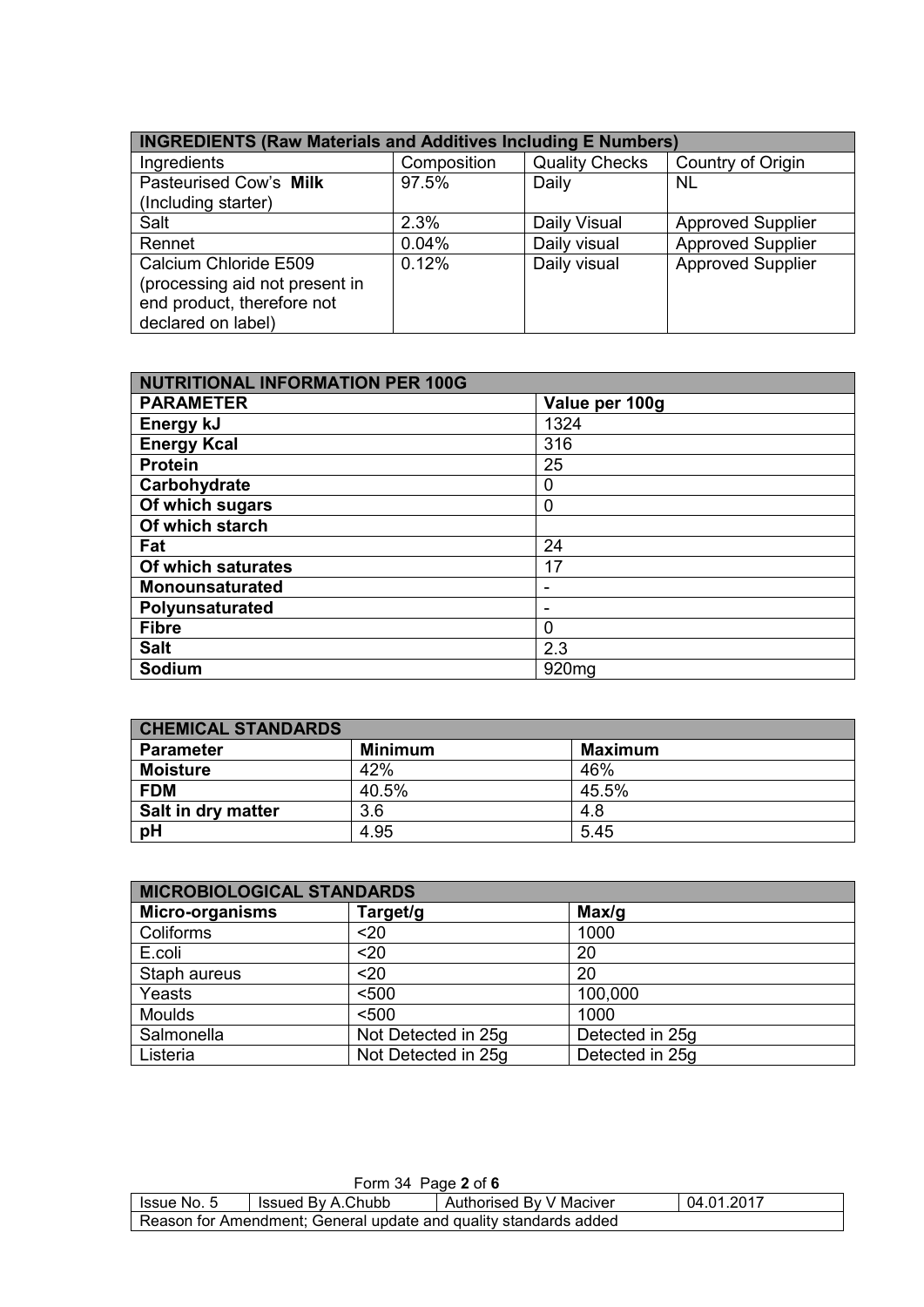| <b>INGREDIENTS (Raw Materials and Additives Including E Numbers)</b> |             |                       |                          |
|----------------------------------------------------------------------|-------------|-----------------------|--------------------------|
| Ingredients                                                          | Composition | <b>Quality Checks</b> | Country of Origin        |
| Pasteurised Cow's Milk                                               | 97.5%       | Daily                 | NL                       |
| (Including starter)                                                  |             |                       |                          |
| Salt                                                                 | 2.3%        | Daily Visual          | <b>Approved Supplier</b> |
| Rennet                                                               | 0.04%       | Daily visual          | <b>Approved Supplier</b> |
| Calcium Chloride E509<br>(processing aid not present in              | 0.12%       | Daily visual          | <b>Approved Supplier</b> |
| end product, therefore not                                           |             |                       |                          |
| declared on label)                                                   |             |                       |                          |

| <b>NUTRITIONAL INFORMATION PER 100G</b> |                   |  |
|-----------------------------------------|-------------------|--|
| <b>PARAMETER</b>                        | Value per 100g    |  |
| Energy kJ                               | 1324              |  |
| <b>Energy Kcal</b>                      | 316               |  |
| <b>Protein</b>                          | 25                |  |
| Carbohydrate                            | 0                 |  |
| Of which sugars                         | 0                 |  |
| Of which starch                         |                   |  |
| Fat                                     | 24                |  |
| Of which saturates                      | 17                |  |
| Monounsaturated                         | -                 |  |
| Polyunsaturated                         | -                 |  |
| <b>Fibre</b>                            | 0                 |  |
| <b>Salt</b>                             | 2.3               |  |
| Sodium                                  | 920 <sub>mg</sub> |  |

| <b>CHEMICAL STANDARDS</b> |                |                |  |
|---------------------------|----------------|----------------|--|
| <b>Parameter</b>          | <b>Minimum</b> | <b>Maximum</b> |  |
| <b>Moisture</b>           | 42%            | 46%            |  |
| <b>FDM</b>                | 40.5%          | 45.5%          |  |
| <b>Salt in dry matter</b> | 3.6            | 4.8            |  |
| pH                        | 4.95           | 5.45           |  |

| <b>MICROBIOLOGICAL STANDARDS</b> |                     |                 |  |
|----------------------------------|---------------------|-----------------|--|
| <b>Micro-organisms</b>           | Target/g            | Max/g           |  |
| Coliforms                        | $20$                | 1000            |  |
| E.coli                           | $20$                | 20              |  |
| Staph aureus                     | $20$                | 20              |  |
| Yeasts                           | < 500               | 100,000         |  |
| <b>Moulds</b>                    | < 500               | 1000            |  |
| Salmonella                       | Not Detected in 25g | Detected in 25g |  |
| Listeria                         | Not Detected in 25g | Detected in 25g |  |

| Form 34 Page 2 of 6                                                       |  |  |  |  |
|---------------------------------------------------------------------------|--|--|--|--|
| 04.01.2017<br>Authorised By V Maciver<br>Issued By A.Chubb<br>Issue No. 5 |  |  |  |  |
| Reason for Amendment; General update and quality standards added          |  |  |  |  |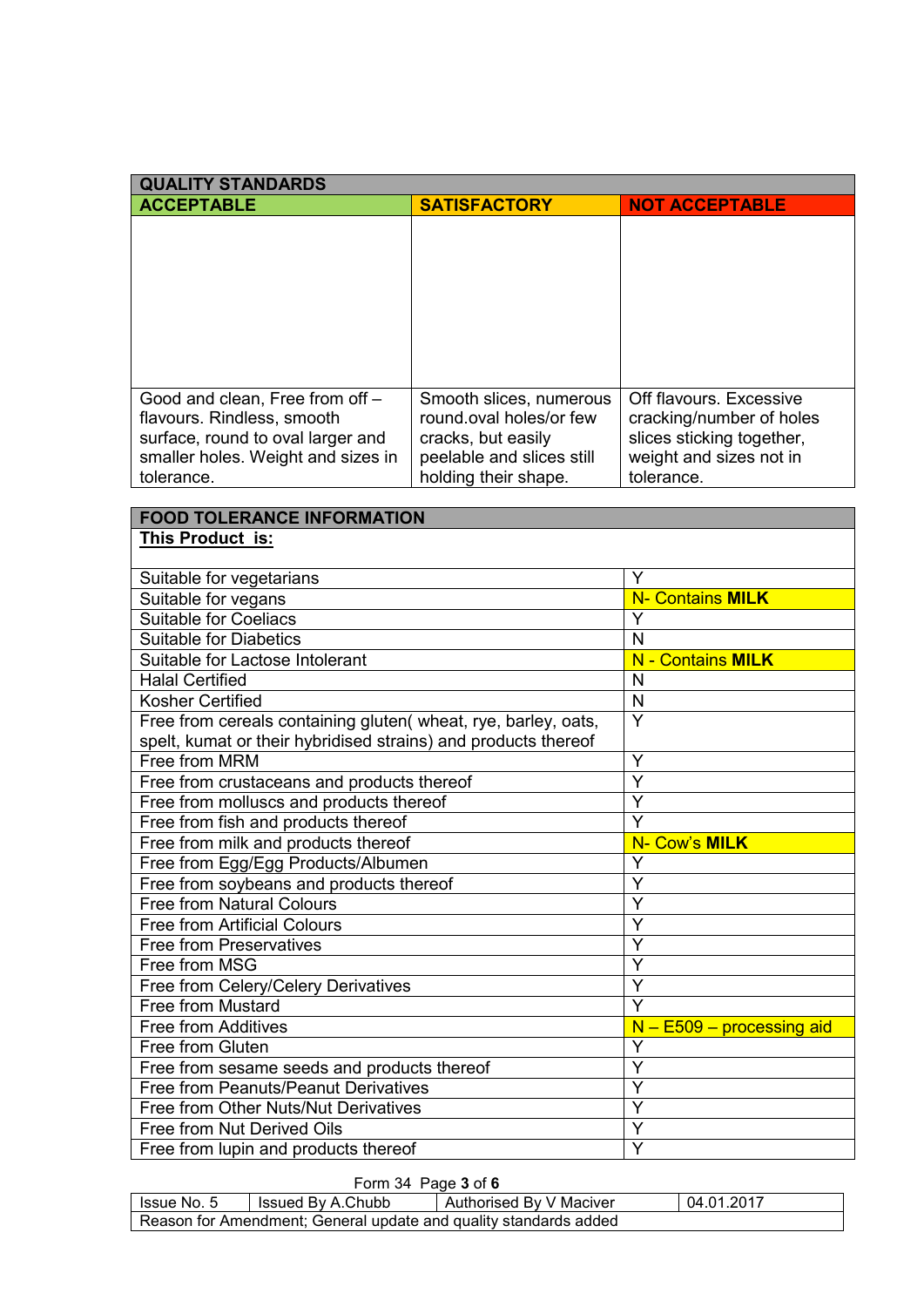| <b>QUALITY STANDARDS</b>           |                           |                           |  |
|------------------------------------|---------------------------|---------------------------|--|
| <b>ACCEPTABLE</b>                  | <b>SATISFACTORY</b>       | <b>NOT ACCEPTABLE</b>     |  |
|                                    |                           |                           |  |
|                                    |                           |                           |  |
|                                    |                           |                           |  |
|                                    |                           |                           |  |
|                                    |                           |                           |  |
|                                    |                           |                           |  |
|                                    |                           |                           |  |
|                                    |                           |                           |  |
|                                    |                           |                           |  |
| Good and clean, Free from off -    | Smooth slices, numerous   | Off flavours, Excessive   |  |
| flavours. Rindless, smooth         | round oval holes/or few   | cracking/number of holes  |  |
| surface, round to oval larger and  | cracks, but easily        | slices sticking together, |  |
| smaller holes. Weight and sizes in | peelable and slices still | weight and sizes not in   |  |
| tolerance.                         | holding their shape.      | tolerance.                |  |

| <b>FOOD TOLERANCE INFORMATION</b>                              |                                  |
|----------------------------------------------------------------|----------------------------------|
| This Product is:                                               |                                  |
|                                                                |                                  |
| Suitable for vegetarians                                       | Y                                |
| Suitable for vegans                                            | <b>N- Contains MILK</b>          |
| <b>Suitable for Coeliacs</b>                                   | Y                                |
| <b>Suitable for Diabetics</b>                                  | N                                |
| Suitable for Lactose Intolerant                                | <b>N</b> - Contains MILK         |
| <b>Halal Certified</b>                                         | N                                |
| <b>Kosher Certified</b>                                        | N                                |
| Free from cereals containing gluten(wheat, rye, barley, oats,  | $\overline{Y}$                   |
| spelt, kumat or their hybridised strains) and products thereof |                                  |
| Free from MRM                                                  | Y                                |
| Free from crustaceans and products thereof                     | Y                                |
| Free from molluscs and products thereof                        | Y                                |
| Free from fish and products thereof                            | $\overline{Y}$                   |
| Free from milk and products thereof                            | N- Cow's MILK                    |
|                                                                |                                  |
| Free from Egg/Egg Products/Albumen                             | Y                                |
| Free from soybeans and products thereof                        | $\overline{Y}$                   |
| <b>Free from Natural Colours</b>                               | Y                                |
| <b>Free from Artificial Colours</b>                            | $\overline{Y}$                   |
| <b>Free from Preservatives</b>                                 | Ÿ                                |
| Free from MSG                                                  | Y                                |
| Free from Celery/Celery Derivatives                            | Y                                |
| Free from Mustard                                              | $\overline{Y}$                   |
| <b>Free from Additives</b>                                     | $N - E509 - processing$ aid      |
| Free from Gluten                                               | Y                                |
| Free from sesame seeds and products thereof                    | Y                                |
| Free from Peanuts/Peanut Derivatives                           | $\overline{Y}$                   |
| Free from Other Nuts/Nut Derivatives                           | Y                                |
| Free from Nut Derived Oils                                     | $\overline{Y}$<br>$\overline{Y}$ |

## Form 34 Page **3** of **6**

| <b>Issue No. 5</b> | Issued By A.Chubb                                                | Authorised By V Maciver | 04.01.2017 |
|--------------------|------------------------------------------------------------------|-------------------------|------------|
|                    | Reason for Amendment; General update and quality standards added |                         |            |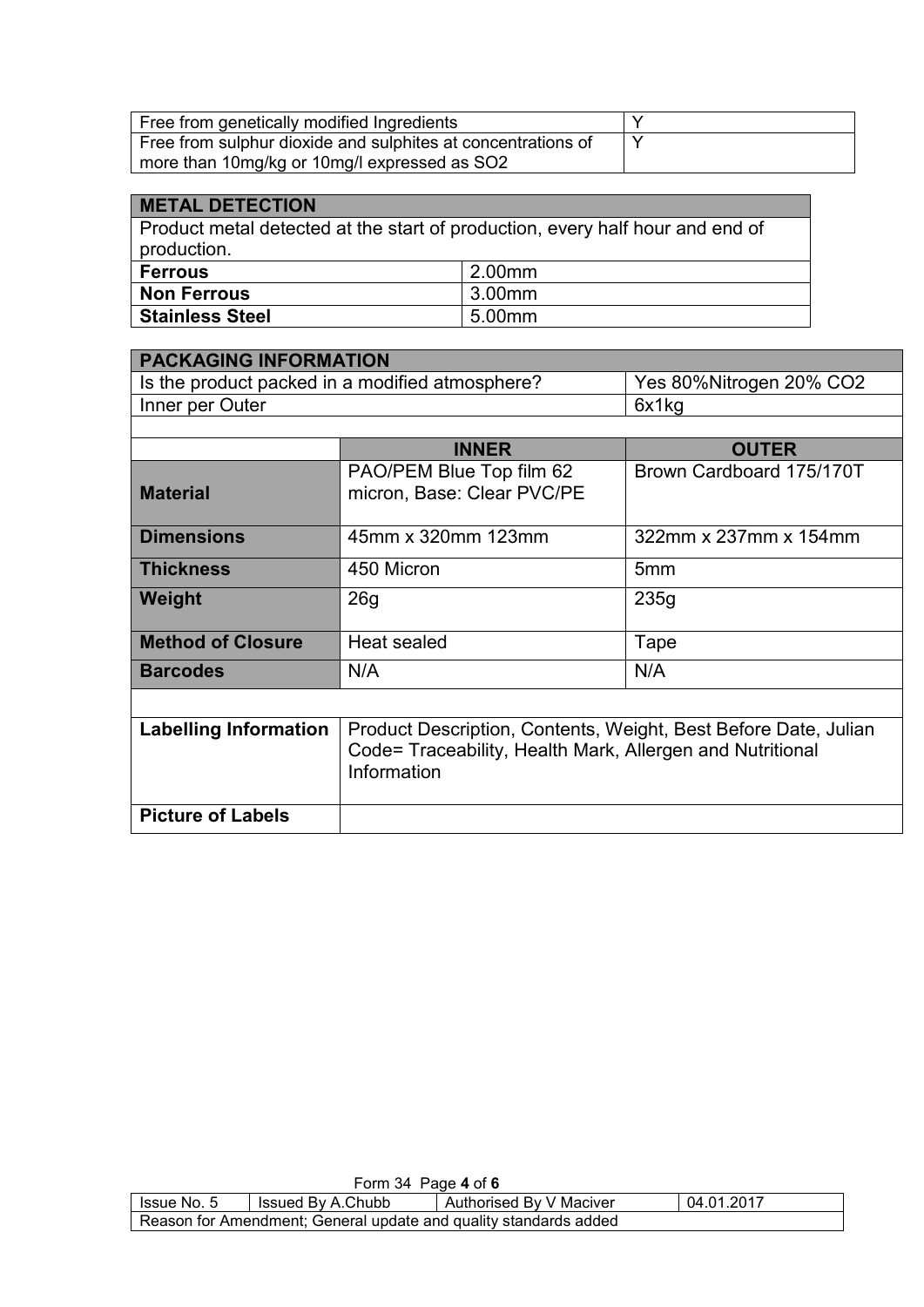| Free from genetically modified Ingredients                   |  |
|--------------------------------------------------------------|--|
| Free from sulphur dioxide and sulphites at concentrations of |  |
| more than 10mg/kg or 10mg/l expressed as SO2                 |  |

| <b>METAL DETECTION</b>                                                        |        |  |
|-------------------------------------------------------------------------------|--------|--|
| Product metal detected at the start of production, every half hour and end of |        |  |
| production.                                                                   |        |  |
| <b>Ferrous</b>                                                                | 2.00mm |  |
| <b>Non Ferrous</b>                                                            | 3.00mm |  |
| <b>Stainless Steel</b>                                                        | 5.00mm |  |

| <b>PACKAGING INFORMATION</b>                    |                                                                                                                                             |                          |  |
|-------------------------------------------------|---------------------------------------------------------------------------------------------------------------------------------------------|--------------------------|--|
| Is the product packed in a modified atmosphere? |                                                                                                                                             | Yes 80%Nitrogen 20% CO2  |  |
| Inner per Outer                                 |                                                                                                                                             | 6x1kg                    |  |
|                                                 |                                                                                                                                             |                          |  |
|                                                 | <b>INNER</b>                                                                                                                                | <b>OUTER</b>             |  |
| <b>Material</b>                                 | PAO/PEM Blue Top film 62<br>micron, Base: Clear PVC/PE                                                                                      | Brown Cardboard 175/170T |  |
| <b>Dimensions</b><br>45mm x 320mm 123mm         |                                                                                                                                             | 322mm x 237mm x 154mm    |  |
| <b>Thickness</b>                                | 450 Micron                                                                                                                                  | 5mm                      |  |
| <b>Weight</b>                                   | 26g                                                                                                                                         | 235g                     |  |
| <b>Method of Closure</b>                        | Heat sealed                                                                                                                                 | Tape                     |  |
| <b>Barcodes</b>                                 | N/A                                                                                                                                         | N/A                      |  |
|                                                 |                                                                                                                                             |                          |  |
| <b>Labelling Information</b>                    | Product Description, Contents, Weight, Best Before Date, Julian<br>Code= Traceability, Health Mark, Allergen and Nutritional<br>Information |                          |  |
| <b>Picture of Labels</b>                        |                                                                                                                                             |                          |  |

| Form 34 Page 4 of 6                                              |                   |                         |            |
|------------------------------------------------------------------|-------------------|-------------------------|------------|
| <b>Issue No. 5</b>                                               | Issued By A.Chubb | Authorised By V Maciver | 04.01.2017 |
| Reason for Amendment; General update and quality standards added |                   |                         |            |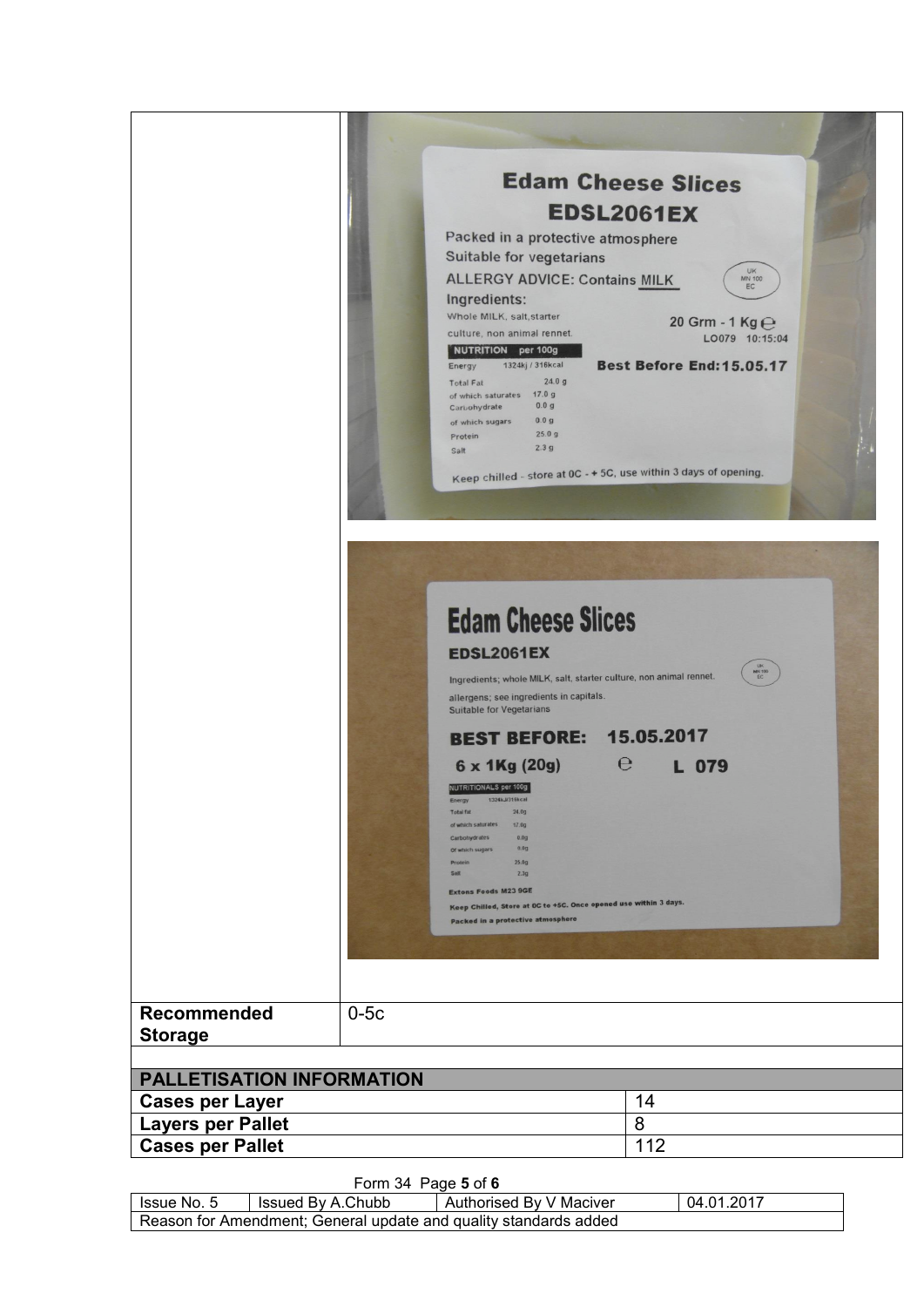

Form 34 Page **5** of **6**

| lssue No. 5                                                      | Issued By A.Chubb | Authorised By V Maciver | 04.01.2017 |  |
|------------------------------------------------------------------|-------------------|-------------------------|------------|--|
| Reason for Amendment; General update and quality standards added |                   |                         |            |  |